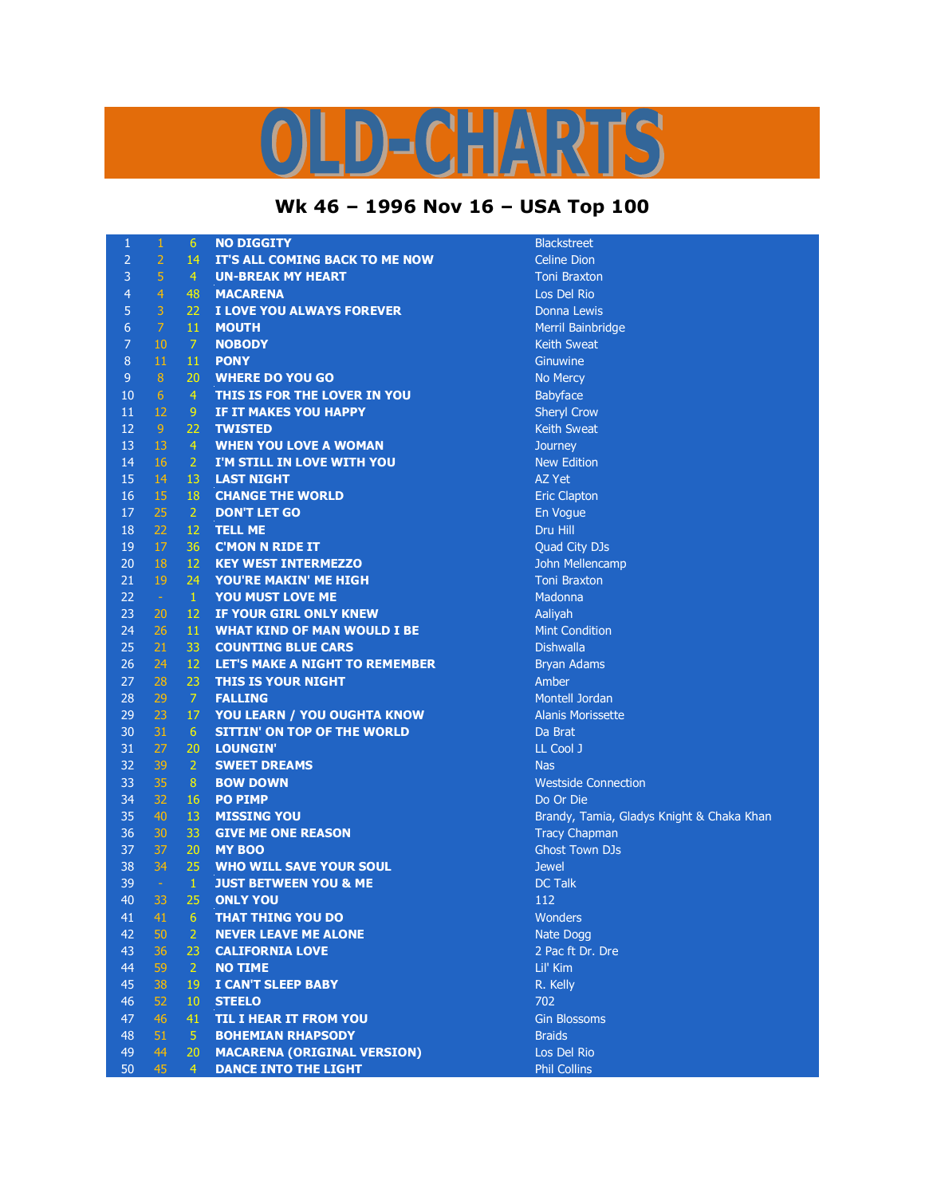## D-CHARTS

## **Wk 46 – 1996 Nov 16 – USA Top 100**

| 1              | $\mathbf 1$    | 6               | <b>NO DIGGITY</b>                     | <b>Blackstr</b> |
|----------------|----------------|-----------------|---------------------------------------|-----------------|
| $\overline{2}$ | $\overline{2}$ | 14              | IT'S ALL COMING BACK TO ME NOW        | Celine D        |
| $\overline{3}$ | $\overline{5}$ | $\overline{4}$  | <b>UN-BREAK MY HEART</b>              | <b>Toni Bra</b> |
| $\overline{4}$ | $\overline{4}$ | 48              | <b>MACARENA</b>                       | Los Del         |
| 5              | $\overline{3}$ | 22              | I LOVE YOU ALWAYS FOREVER             | Donna I         |
| $\overline{6}$ | $\overline{7}$ | 11              | <b>MOUTH</b>                          | Merril B        |
| $\overline{7}$ | 10             | $\overline{7}$  | <b>NOBODY</b>                         | Keith Sv        |
| $\, 8$         | $11\,$         | 11              | <b>PONY</b>                           | Ginuwin         |
| $9$            | 8              | 20              | <b>WHERE DO YOU GO</b>                | No Mero         |
| 10             | 6              | $\overline{4}$  | THIS IS FOR THE LOVER IN YOU          | Babyfac         |
| 11             | 12             | 9 <sup>°</sup>  | IF IT MAKES YOU HAPPY                 | Sheryl C        |
| 12             | 9 <sup>°</sup> | 22              | <b>TWISTED</b>                        | Keith Sv        |
| 13             | 13             | $\overline{4}$  | <b>WHEN YOU LOVE A WOMAN</b>          | Journey         |
| 14             | 16             | $\overline{2}$  | I'M STILL IN LOVE WITH YOU            | New Ed          |
| 15             | 14             | 13              | <b>LAST NIGHT</b>                     | AZ Yet          |
| 16             | 15             | 18              | <b>CHANGE THE WORLD</b>               | <b>Eric Cla</b> |
| 17             | 25             | $\overline{2}$  | <b>DON'T LET GO</b>                   | En Vogu         |
| 18             | 22             | 12              | <b>TELL ME</b>                        | Dru Hill        |
| 19             | 17             | 36              | <b>C'MON N RIDE IT</b>                | Quad Ci         |
| 20             | 18             | 12              | <b>KEY WEST INTERMEZZO</b>            | John Me         |
| 21             | 19             | 24              | YOU'RE MAKIN' ME HIGH                 | <b>Toni Bra</b> |
| 22             | $\sim$         | $\mathbf{1}$    | YOU MUST LOVE ME                      | Madonn          |
| 23             | 20             | 12              | IF YOUR GIRL ONLY KNEW                | Aaliyah         |
| 24             | 26             | 11              | <b>WHAT KIND OF MAN WOULD I BE</b>    | Mint Co         |
| 25             | 21             | 33              | <b>COUNTING BLUE CARS</b>             | <b>Dishwal</b>  |
| 26             | 24             | 12              | <b>LET'S MAKE A NIGHT TO REMEMBER</b> | Bryan A         |
| 27             | 28             | 23              | THIS IS YOUR NIGHT                    | Amber           |
| 28             | 29             | $\overline{7}$  | <b>FALLING</b>                        | Montell         |
| 29             | 23             | 17              | YOU LEARN / YOU OUGHTA KNOW           | Alanis M        |
| 30             | 31             | $6\phantom{1}6$ | <b>SITTIN' ON TOP OF THE WORLD</b>    | Da Brat         |
| 31             | 27             | 20              | <b>LOUNGIN'</b>                       | LL Cool         |
| 32             | 39             | $\overline{2}$  | <b>SWEET DREAMS</b>                   | <b>Nas</b>      |
| 33             | 35             | 8               | <b>BOW DOWN</b>                       | Westsid         |
| 34             | 32             | 16              | <b>PO PIMP</b>                        | Do Or D         |
| 35             | 40             | 13              | <b>MISSING YOU</b>                    | Brandy,         |
| 36             | 30             | 33              | <b>GIVE ME ONE REASON</b>             | <b>Tracy C</b>  |
| 37             | 37             | 20              | <b>MY BOO</b>                         | <b>Ghost T</b>  |
| 38             | 34             | 25              | <b>WHO WILL SAVE YOUR SOUL</b>        | <b>Jewel</b>    |
| 39             | $\sim$         | $\mathbf{1}$    | <b>JUST BETWEEN YOU &amp; ME</b>      | <b>DC Talk</b>  |
| 40             | 33             | 25              | <b>ONLY YOU</b>                       | 112             |
| 41             | 41.            | 6.              | THAT THING YOU DO                     | Wonder          |
| 42             | 50             | $\overline{2}$  | <b>NEVER LEAVE ME ALONE</b>           | Nate Do         |
| 43             | 36             | 23              | <b>CALIFORNIA LOVE</b>                | 2 Pac ft        |
| 44             | 59             | $\overline{2}$  | <b>NO TIME</b>                        | Lil' Kim        |
| 45             | 38             | 19              | I CAN'T SLEEP BABY                    | R. Kelly        |
| 46             | 52             | 10              | <b>STEELO</b>                         | 702             |
| 47             | 46             | 41              | <b>TIL I HEAR IT FROM YOU</b>         | <b>Gin Blos</b> |
| 48             | 51             | 5               | <b>BOHEMIAN RHAPSODY</b>              | <b>Braids</b>   |
| 49             | 44             | 20              | <b>MACARENA (ORIGINAL VERSION)</b>    | Los Del         |
| 50             | 45             | $\overline{4}$  | <b>DANCE INTO THE LIGHT</b>           | Phil Coll       |
|                |                |                 |                                       |                 |

**Blackstreet Celine Dion Toni Braxton Los Del Rio Donna Lewis Merril Bainbridge Keith Sweat Ginuwine No Mercy Babyface Sheryl Crow Keith Sweat New Edition Eric Clapton** En Vogue Quad City DJs **John Mellencamp** 21 19 24 **YOU'RE MAKIN' ME HIGH** Toni Braxton Madonna **Mint Condition** Dishwalla **Bryan Adams Montell Jordan** Alanis Morissette LL Cool J **Westside Connection** Do Or Die Brandy, Tamia, Gladys Knight & Chaka Khan **Tracy Chapman Ghost Town DJs Wonders Nate Dogg** 2 Pac ft Dr. Dre **Gin Blossoms Los Del Rio** 

**Phil Collins**